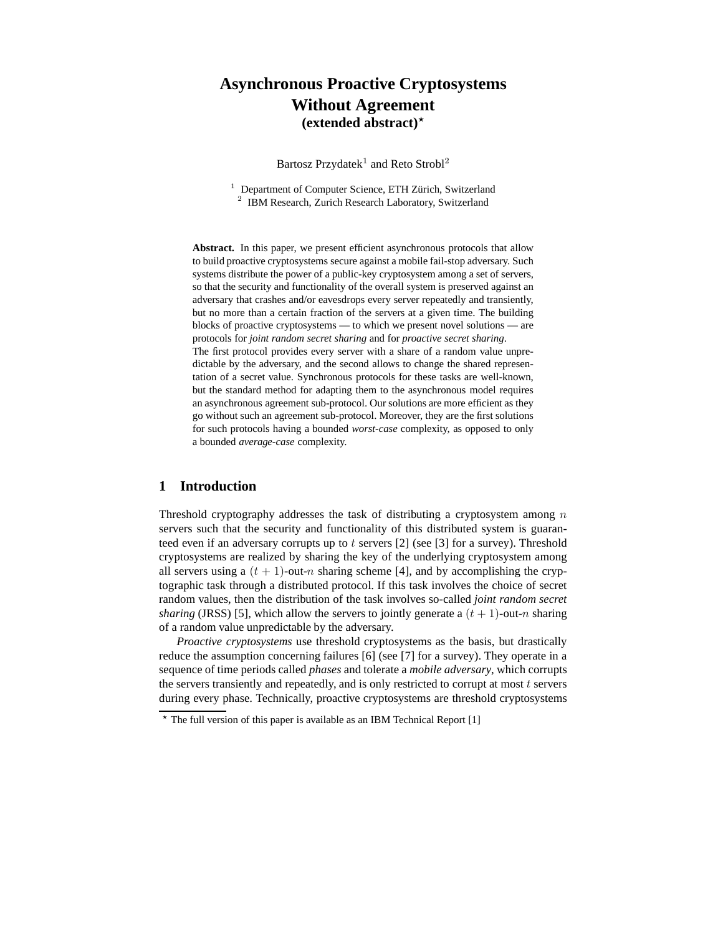## **Asynchronous Proactive Cryptosystems Without Agreement (extended abstract)**?

Bartosz Przydate $k^1$  and Reto Strobl<sup>2</sup>

 $1$  Department of Computer Science, ETH Zürich, Switzerland <sup>2</sup> IBM Research, Zurich Research Laboratory, Switzerland

**Abstract.** In this paper, we present efficient asynchronous protocols that allow to build proactive cryptosystems secure against a mobile fail-stop adversary. Such systems distribute the power of a public-key cryptosystem among a set of servers, so that the security and functionality of the overall system is preserved against an adversary that crashes and/or eavesdrops every server repeatedly and transiently, but no more than a certain fraction of the servers at a given time. The building blocks of proactive cryptosystems — to which we present novel solutions — are protocols for *joint random secret sharing* and for *proactive secret sharing*. The first protocol provides every server with a share of a random value unpredictable by the adversary, and the second allows to change the shared representation of a secret value. Synchronous protocols for these tasks are well-known, but the standard method for adapting them to the asynchronous model requires an asynchronous agreement sub-protocol. Our solutions are more efficient as they go without such an agreement sub-protocol. Moreover, they are the first solutions for such protocols having a bounded *worst-case* complexity, as opposed to only a bounded *average-case* complexity.

## **1 Introduction**

Threshold cryptography addresses the task of distributing a cryptosystem among  $n$ servers such that the security and functionality of this distributed system is guaranteed even if an adversary corrupts up to t servers  $[2]$  (see [3] for a survey). Threshold cryptosystems are realized by sharing the key of the underlying cryptosystem among all servers using a  $(t + 1)$ -out-*n* sharing scheme [4], and by accomplishing the cryptographic task through a distributed protocol. If this task involves the choice of secret random values, then the distribution of the task involves so-called *joint random secret sharing* (JRSS) [5], which allow the servers to jointly generate a  $(t + 1)$ -out-n sharing of a random value unpredictable by the adversary.

*Proactive cryptosystems* use threshold cryptosystems as the basis, but drastically reduce the assumption concerning failures [6] (see [7] for a survey). They operate in a sequence of time periods called *phases* and tolerate a *mobile adversary*, which corrupts the servers transiently and repeatedly, and is only restricted to corrupt at most  $t$  servers during every phase. Technically, proactive cryptosystems are threshold cryptosystems

<sup>?</sup> The full version of this paper is available as an IBM Technical Report [1]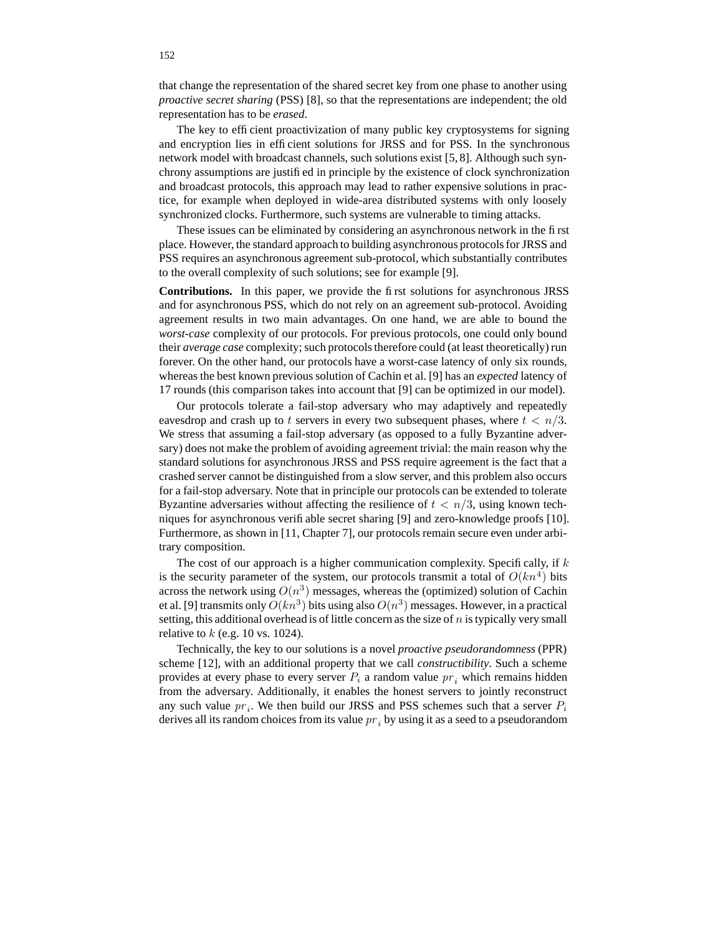that change the representation of the shared secret key from one phase to another using *proactive secret sharing* (PSS) [8], so that the representations are independent; the old representation has to be *erased*.

The key to efficient proactivization of many public key cryptosystems for signing and encryption lies in efficient solutions for JRSS and for PSS. In the synchronous network model with broadcast channels, such solutions exist [5, 8]. Although such synchrony assumptions are justified in principle by the existence of clock synchronization and broadcast protocols, this approach may lead to rather expensive solutions in practice, for example when deployed in wide-area distributed systems with only loosely synchronized clocks. Furthermore, such systems are vulnerable to timing attacks.

These issues can be eliminated by considering an asynchronous network in the first place. However, the standard approach to building asynchronous protocolsfor JRSS and PSS requires an asynchronous agreement sub-protocol, which substantially contributes to the overall complexity of such solutions; see for example [9].

**Contributions.** In this paper, we provide the first solutions for asynchronous JRSS and for asynchronous PSS, which do not rely on an agreement sub-protocol. Avoiding agreement results in two main advantages. On one hand, we are able to bound the *worst-case* complexity of our protocols. For previous protocols, one could only bound their *average case* complexity; such protocols therefore could (at least theoretically) run forever. On the other hand, our protocols have a worst-case latency of only six rounds, whereas the best known previous solution of Cachin et al. [9] has an *expected* latency of 17 rounds (this comparison takes into account that [9] can be optimized in our model).

Our protocols tolerate a fail-stop adversary who may adaptively and repeatedly eavesdrop and crash up to t servers in every two subsequent phases, where  $t < n/3$ . We stress that assuming a fail-stop adversary (as opposed to a fully Byzantine adversary) does not make the problem of avoiding agreement trivial: the main reason why the standard solutions for asynchronous JRSS and PSS require agreement is the fact that a crashed server cannot be distinguished from a slow server, and this problem also occurs for a fail-stop adversary. Note that in principle our protocols can be extended to tolerate Byzantine adversaries without affecting the resilience of  $t < n/3$ , using known techniques for asynchronous verifiable secret sharing [9] and zero-knowledge proofs [10]. Furthermore, as shown in [11, Chapter 7], our protocols remain secure even under arbitrary composition.

The cost of our approach is a higher communication complexity. Specifically, if  $k$ is the security parameter of the system, our protocols transmit a total of  $O(kn^4)$  bits across the network using  $O(n^3)$  messages, whereas the (optimized) solution of Cachin et al. [9] transmits only  $O(kn^3)$  bits using also  $O(n^3)$  messages. However, in a practical setting, this additional overhead is of little concern as the size of  $n$  is typically very small relative to  $k$  (e.g. 10 vs. 1024).

Technically, the key to our solutions is a novel *proactive pseudorandomness* (PPR) scheme [12], with an additional property that we call *constructibility*. Such a scheme provides at every phase to every server  $P_i$  a random value  $pr_i$  which remains hidden from the adversary. Additionally, it enables the honest servers to jointly reconstruct any such value  $pr_i$ . We then build our JRSS and PSS schemes such that a server  $P_i$ derives all its random choices from its value  $pr_i$  by using it as a seed to a pseudorandom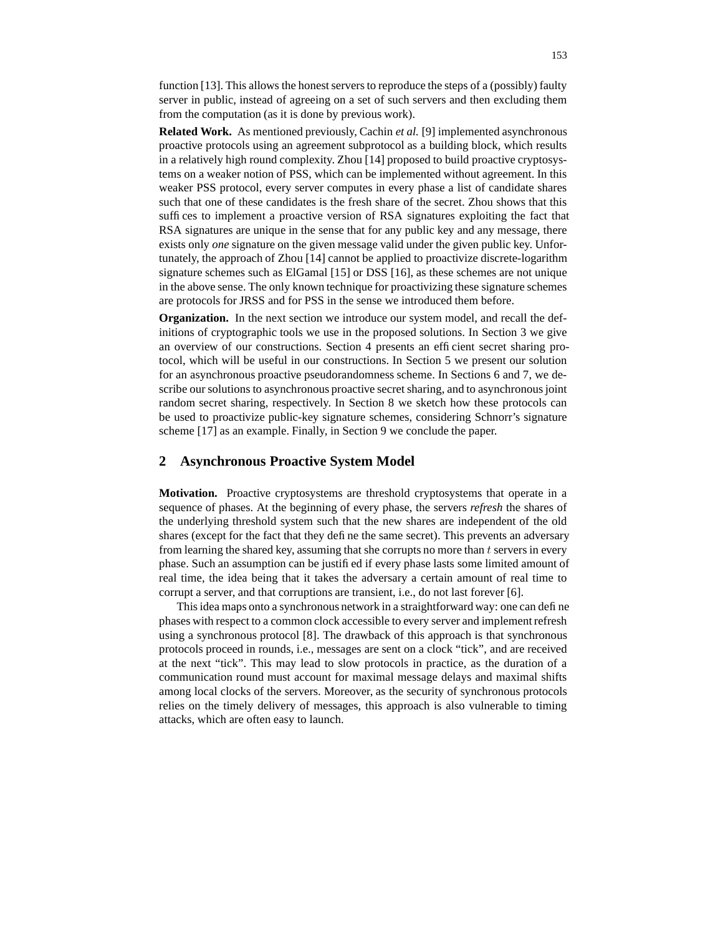function [13]. This allows the honest servers to reproduce the steps of a (possibly) faulty server in public, instead of agreeing on a set of such servers and then excluding them from the computation (as it is done by previous work).

**Related Work.** As mentioned previously, Cachin *et al.* [9] implemented asynchronous proactive protocols using an agreement subprotocol as a building block, which results in a relatively high round complexity. Zhou [14] proposed to build proactive cryptosystems on a weaker notion of PSS, which can be implemented without agreement. In this weaker PSS protocol, every server computes in every phase a list of candidate shares such that one of these candidates is the fresh share of the secret. Zhou shows that this suffices to implement a proactive version of RSA signatures exploiting the fact that RSA signatures are unique in the sense that for any public key and any message, there exists only *one* signature on the given message valid under the given public key. Unfortunately, the approach of Zhou [14] cannot be applied to proactivize discrete-logarithm signature schemes such as ElGamal [15] or DSS [16], as these schemes are not unique in the above sense. The only known technique for proactivizing these signature schemes are protocols for JRSS and for PSS in the sense we introduced them before.

**Organization.** In the next section we introduce our system model, and recall the definitions of cryptographic tools we use in the proposed solutions. In Section 3 we give an overview of our constructions. Section 4 presents an efficient secret sharing protocol, which will be useful in our constructions. In Section 5 we present our solution for an asynchronous proactive pseudorandomness scheme. In Sections 6 and 7, we describe our solutions to asynchronous proactive secret sharing, and to asynchronousjoint random secret sharing, respectively. In Section 8 we sketch how these protocols can be used to proactivize public-key signature schemes, considering Schnorr's signature scheme [17] as an example. Finally, in Section 9 we conclude the paper.

### **2 Asynchronous Proactive System Model**

**Motivation.** Proactive cryptosystems are threshold cryptosystems that operate in a sequence of phases. At the beginning of every phase, the servers *refresh* the shares of the underlying threshold system such that the new shares are independent of the old shares (except for the fact that they define the same secret). This prevents an adversary from learning the shared key, assuming that she corrupts no more than  $t$  servers in every phase. Such an assumption can be justified if every phase lasts some limited amount of real time, the idea being that it takes the adversary a certain amount of real time to corrupt a server, and that corruptions are transient, i.e., do not last forever [6].

Thisidea maps onto a synchronous network in a straightforward way: one can define phases with respect to a common clock accessible to every server and implement refresh using a synchronous protocol [8]. The drawback of this approach is that synchronous protocols proceed in rounds, i.e., messages are sent on a clock "tick", and are received at the next "tick". This may lead to slow protocols in practice, as the duration of a communication round must account for maximal message delays and maximal shifts among local clocks of the servers. Moreover, as the security of synchronous protocols relies on the timely delivery of messages, this approach is also vulnerable to timing attacks, which are often easy to launch.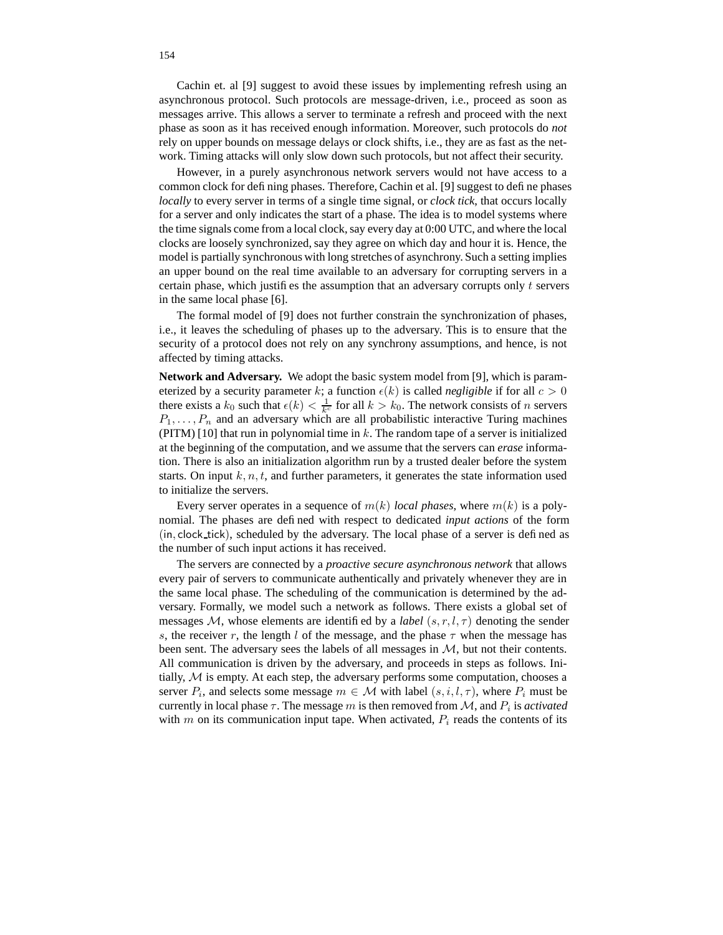Cachin et. al [9] suggest to avoid these issues by implementing refresh using an asynchronous protocol. Such protocols are message-driven, i.e., proceed as soon as messages arrive. This allows a server to terminate a refresh and proceed with the next phase as soon as it has received enough information. Moreover, such protocols do *not* rely on upper bounds on message delays or clock shifts, i.e., they are as fast as the network. Timing attacks will only slow down such protocols, but not affect their security.

However, in a purely asynchronous network servers would not have access to a common clock for defining phases. Therefore, Cachin et al. [9] suggest to define phases *locally* to every server in terms of a single time signal, or *clock tick*, that occurs locally for a server and only indicates the start of a phase. The idea is to model systems where the time signals come from a local clock,say every day at 0:00 UTC, and where the local clocks are loosely synchronized, say they agree on which day and hour it is. Hence, the model is partially synchronous with long stretches of asynchrony. Such a setting implies an upper bound on the real time available to an adversary for corrupting servers in a certain phase, which justifies the assumption that an adversary corrupts only  $t$  servers in the same local phase [6].

The formal model of [9] does not further constrain the synchronization of phases, i.e., it leaves the scheduling of phases up to the adversary. This is to ensure that the security of a protocol does not rely on any synchrony assumptions, and hence, is not affected by timing attacks.

**Network and Adversary.** We adopt the basic system model from [9], which is parameterized by a security parameter k; a function  $\epsilon(k)$  is called *negligible* if for all  $c > 0$ there exists a  $k_0$  such that  $\epsilon(k) < \frac{1}{k^c}$  for all  $k > k_0$ . The network consists of *n* servers  $P_1, \ldots, P_n$  and an adversary which are all probabilistic interactive Turing machines (PITM) [10] that run in polynomial time in  $k$ . The random tape of a server is initialized at the beginning of the computation, and we assume that the servers can *erase* information. There is also an initialization algorithm run by a trusted dealer before the system starts. On input  $k, n, t$ , and further parameters, it generates the state information used to initialize the servers.

Every server operates in a sequence of  $m(k)$  *local phases*, where  $m(k)$  is a polynomial. The phases are defined with respect to dedicated *input actions* of the form (in, clock tick), scheduled by the adversary. The local phase of a server is defined as the number of such input actions it has received.

The servers are connected by a *proactive secure asynchronous network* that allows every pair of servers to communicate authentically and privately whenever they are in the same local phase. The scheduling of the communication is determined by the adversary. Formally, we model such a network as follows. There exists a global set of messages M, whose elements are identified by a *label*  $(s, r, l, \tau)$  denoting the sender s, the receiver r, the length l of the message, and the phase  $\tau$  when the message has been sent. The adversary sees the labels of all messages in  $M$ , but not their contents. All communication is driven by the adversary, and proceeds in steps as follows. Initially,  $M$  is empty. At each step, the adversary performs some computation, chooses a server  $P_i$ , and selects some message  $m \in \mathcal{M}$  with label  $(s, i, l, \tau)$ , where  $P_i$  must be currently in local phase  $\tau$ . The message m is then removed from M, and  $P_i$  is *activated* with m on its communication input tape. When activated,  $P_i$  reads the contents of its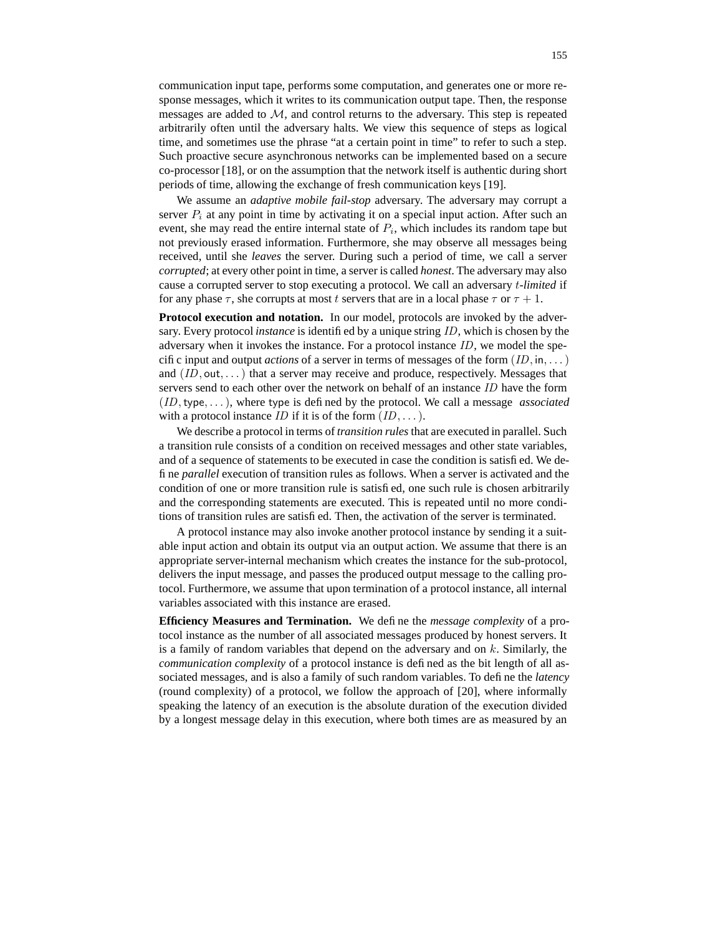communication input tape, performs some computation, and generates one or more response messages, which it writes to its communication output tape. Then, the response messages are added to  $\mathcal{M}$ , and control returns to the adversary. This step is repeated arbitrarily often until the adversary halts. We view this sequence of steps as logical time, and sometimes use the phrase "at a certain point in time" to refer to such a step. Such proactive secure asynchronous networks can be implemented based on a secure co-processor [18], or on the assumption that the network itself is authentic during short periods of time, allowing the exchange of fresh communication keys [19].

We assume an *adaptive mobile fail-stop* adversary. The adversary may corrupt a server  $P_i$  at any point in time by activating it on a special input action. After such an event, she may read the entire internal state of  $P_i$ , which includes its random tape but not previously erased information. Furthermore, she may observe all messages being received, until she *leaves* the server. During such a period of time, we call a server *corrupted*; at every other point in time, a server is called *honest*. The adversary may also cause a corrupted server to stop executing a protocol. We call an adversary t*-limited* if for any phase  $\tau$ , she corrupts at most t servers that are in a local phase  $\tau$  or  $\tau + 1$ .

**Protocol execution and notation.** In our model, protocols are invoked by the adversary. Every protocol *instance* is identified by a unique string ID, which is chosen by the adversary when it invokes the instance. For a protocol instance ID, we model the specific input and output *actions* of a server in terms of messages of the form  $(ID, in, ...)$ and  $(ID, out, ...)$  that a server may receive and produce, respectively. Messages that servers send to each other over the network on behalf of an instance ID have the form (ID,type, . . .), where type is defined by the protocol. We call a message *associated* with a protocol instance *ID* if it is of the form  $(ID, \ldots)$ .

We describe a protocol in terms of *transition rules* that are executed in parallel. Such a transition rule consists of a condition on received messages and other state variables, and of a sequence of statements to be executed in case the condition is satisfied. We define *parallel* execution of transition rules as follows. When a server is activated and the condition of one or more transition rule is satisfied, one such rule is chosen arbitrarily and the corresponding statements are executed. This is repeated until no more conditions of transition rules are satisfied. Then, the activation of the server is terminated.

A protocol instance may also invoke another protocol instance by sending it a suitable input action and obtain its output via an output action. We assume that there is an appropriate server-internal mechanism which creates the instance for the sub-protocol, delivers the input message, and passes the produced output message to the calling protocol. Furthermore, we assume that upon termination of a protocol instance, all internal variables associated with this instance are erased.

**Efficiency Measures and Termination.** We define the *message complexity* of a protocol instance as the number of all associated messages produced by honest servers. It is a family of random variables that depend on the adversary and on  $k$ . Similarly, the *communication complexity* of a protocol instance is defined as the bit length of all associated messages, and is also a family of such random variables. To define the *latency* (round complexity) of a protocol, we follow the approach of [20], where informally speaking the latency of an execution is the absolute duration of the execution divided by a longest message delay in this execution, where both times are as measured by an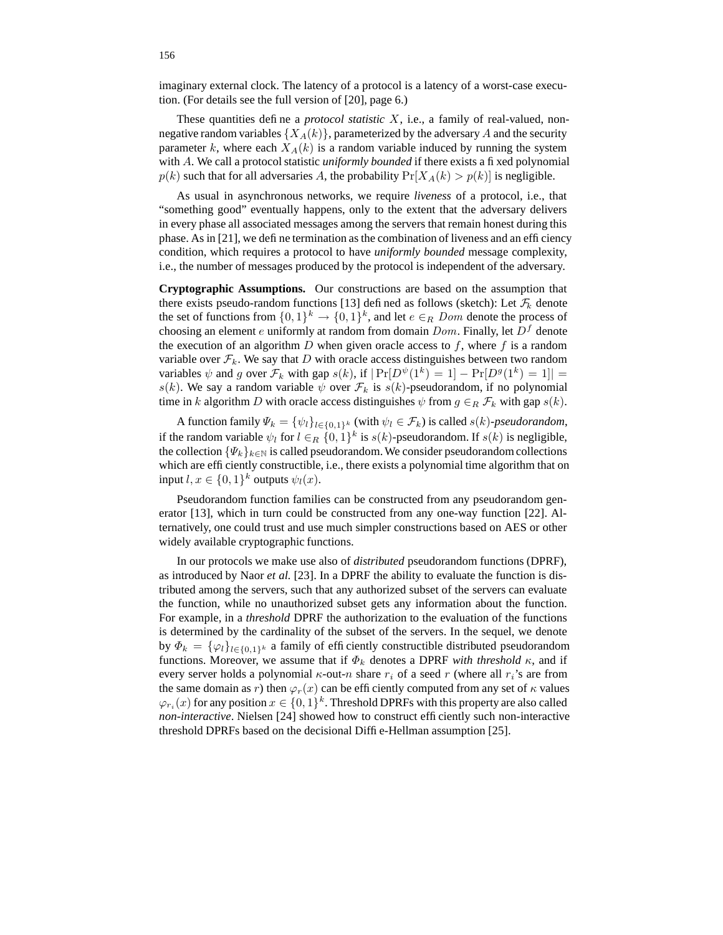imaginary external clock. The latency of a protocol is a latency of a worst-case execution. (For details see the full version of [20], page 6.)

These quantities define a *protocol statistic* X, i.e., a family of real-valued, nonnegative random variables  $\{X_A(k)\}\$ , parameterized by the adversary A and the security parameter k, where each  $X_A(k)$  is a random variable induced by running the system with A. We call a protocol statistic *uniformly bounded* if there exists a fixed polynomial  $p(k)$  such that for all adversaries A, the probability  $Pr[X_A(k) > p(k)]$  is negligible.

As usual in asynchronous networks, we require *liveness* of a protocol, i.e., that "something good" eventually happens, only to the extent that the adversary delivers in every phase all associated messages among the servers that remain honest during this phase. As in [21], we define termination as the combination of liveness and an efficiency condition, which requires a protocol to have *uniformly bounded* message complexity, i.e., the number of messages produced by the protocol is independent of the adversary.

**Cryptographic Assumptions.** Our constructions are based on the assumption that there exists pseudo-random functions [13] defined as follows (sketch): Let  $\mathcal{F}_k$  denote the set of functions from  $\{0,1\}^k \to \{0,1\}^k$ , and let  $e \in_R Dom$  denote the process of choosing an element e uniformly at random from domain  $Dom$ . Finally, let  $D<sup>f</sup>$  denote the execution of an algorithm D when given oracle access to f, where f is a random variable over  $\mathcal{F}_k$ . We say that D with oracle access distinguishes between two random variables  $\psi$  and g over  $\mathcal{F}_k$  with gap  $s(k)$ , if  $|\Pr[D^\psi(1^k) = 1] - \Pr[D^g(1^k) = 1]| =$ s(k). We say a random variable  $\psi$  over  $\mathcal{F}_k$  is  $s(k)$ -pseudorandom, if no polynomial time in k algorithm D with oracle access distinguishes  $\psi$  from  $g \in_R \mathcal{F}_k$  with gap  $s(k)$ .

A function family  $\Psi_k = {\psi_l}_{l \in \{0,1\}^k}$  (with  $\psi_l \in \mathcal{F}_k$ ) is called  $s(k)$ *-pseudorandom*, if the random variable  $\psi_l$  for  $l \in_R \{0,1\}^k$  is  $s(k)$ -pseudorandom. If  $s(k)$  is negligible, the collection  $\{\Psi_k\}_{k\in\mathbb{N}}$  is called pseudorandom. We consider pseudorandom collections which are efficiently constructible, i.e., there exists a polynomial time algorithm that on input  $l, x \in \{0,1\}^k$  outputs  $\psi_l(x)$ .

Pseudorandom function families can be constructed from any pseudorandom generator [13], which in turn could be constructed from any one-way function [22]. Alternatively, one could trust and use much simpler constructions based on AES or other widely available cryptographic functions.

In our protocols we make use also of *distributed* pseudorandom functions (DPRF), as introduced by Naor *et al.* [23]. In a DPRF the ability to evaluate the function is distributed among the servers, such that any authorized subset of the servers can evaluate the function, while no unauthorized subset gets any information about the function. For example, in a *threshold* DPRF the authorization to the evaluation of the functions is determined by the cardinality of the subset of the servers. In the sequel, we denote by  $\Phi_k = {\varphi_l}_{l \in \{0,1\}^k}$  a family of efficiently constructible distributed pseudorandom functions. Moreover, we assume that if  $\Phi_k$  denotes a DPRF *with threshold*  $\kappa$ , and if every server holds a polynomial  $\kappa$ -out-n share  $r_i$  of a seed r (where all  $r_i$ 's are from the same domain as r) then  $\varphi_r(x)$  can be efficiently computed from any set of  $\kappa$  values  $\varphi_{r_i}(x)$  for any position  $x \in \{0,1\}^k.$  Threshold DPRFs with this property are also called *non-interactive*. Nielsen [24] showed how to construct efficiently such non-interactive threshold DPRFs based on the decisional Diffie-Hellman assumption [25].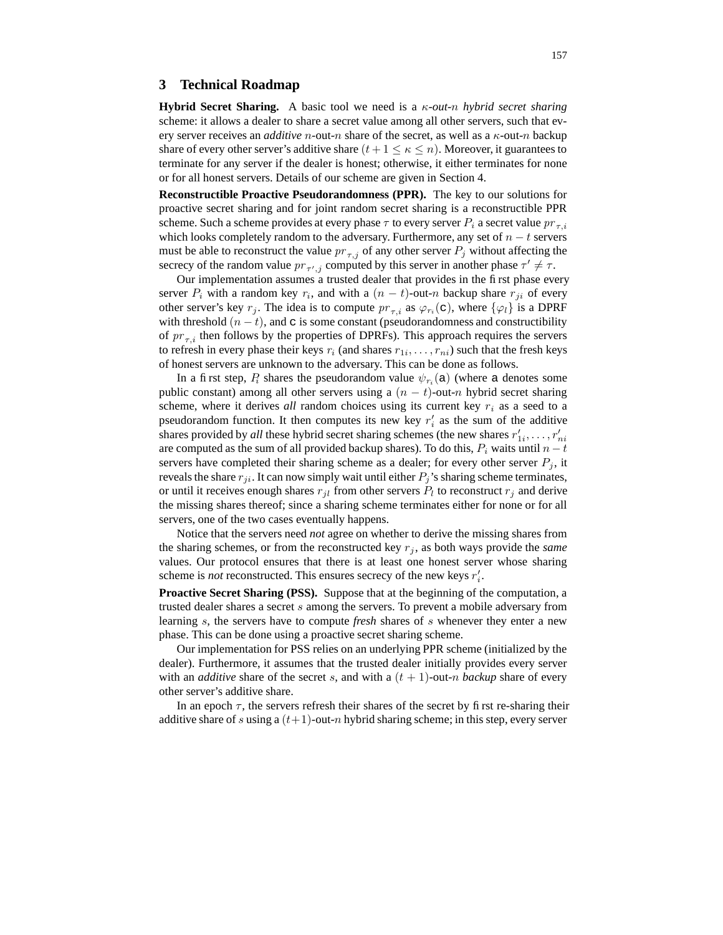### **3 Technical Roadmap**

**Hybrid Secret Sharing.** A basic tool we need is a κ*-out-*n *hybrid secret sharing* scheme: it allows a dealer to share a secret value among all other servers, such that every server receives an *additive* n-out-n share of the secret, as well as a κ-out-n backup share of every other server's additive share  $(t+1 \leq \kappa \leq n)$ . Moreover, it guarantees to terminate for any server if the dealer is honest; otherwise, it either terminates for none or for all honest servers. Details of our scheme are given in Section 4.

**Reconstructible Proactive Pseudorandomness (PPR).** The key to our solutions for proactive secret sharing and for joint random secret sharing is a reconstructible PPR scheme. Such a scheme provides at every phase  $\tau$  to every server  $P_i$  a secret value  $pr_{\tau i}$ which looks completely random to the adversary. Furthermore, any set of  $n - t$  servers must be able to reconstruct the value  $pr_{\tau,j}$  of any other server  $P_j$  without affecting the secrecy of the random value  $pr_{\tau',j}$  computed by this server in another phase  $\tau' \neq \tau$ .

Our implementation assumes a trusted dealer that provides in the first phase every server  $P_i$  with a random key  $r_i$ , and with a  $(n - t)$ -out-n backup share  $r_{ji}$  of every other server's key  $r_j$ . The idea is to compute  $pr_{\tau,i}$  as  $\varphi_{r_i}(c)$ , where  $\{\varphi_l\}$  is a DPRF with threshold  $(n - t)$ , and c is some constant (pseudorandomness and constructibility of  $pr_{\tau,i}$  then follows by the properties of DPRFs). This approach requires the servers to refresh in every phase their keys  $r_i$  (and shares  $r_{1i}, \ldots, r_{ni}$ ) such that the fresh keys of honest servers are unknown to the adversary. This can be done as follows.

In a first step,  $P_i$  shares the pseudorandom value  $\psi_{r_i}(\mathsf{a})$  (where a denotes some public constant) among all other servers using a  $(n - t)$ -out-n hybrid secret sharing scheme, where it derives *all* random choices using its current key  $r_i$  as a seed to a pseudorandom function. It then computes its new key  $r_i$  as the sum of the additive shares provided by *all* these hybrid secret sharing schemes (the new shares  $r'_{1i}, \ldots, r'_{ni}$ are computed as the sum of all provided backup shares). To do this,  $P_i$  waits until  $n - t$ servers have completed their sharing scheme as a dealer; for every other server  $P_i$ , it reveals the share  $r_{ji}$ . It can now simply wait until either  $P_j$ 's sharing scheme terminates, or until it receives enough shares  $r_{jl}$  from other servers  $P_l$  to reconstruct  $r_j$  and derive the missing shares thereof; since a sharing scheme terminates either for none or for all servers, one of the two cases eventually happens.

Notice that the servers need *not* agree on whether to derive the missing shares from the sharing schemes, or from the reconstructed key  $r_j$ , as both ways provide the *same* values. Our protocol ensures that there is at least one honest server whose sharing scheme is *not* reconstructed. This ensures secrecy of the new keys  $r_i'$ .

**Proactive Secret Sharing (PSS).** Suppose that at the beginning of the computation, a trusted dealer shares a secret s among the servers. To prevent a mobile adversary from learning s, the servers have to compute *fresh* shares of s whenever they enter a new phase. This can be done using a proactive secret sharing scheme.

Our implementation for PSS relies on an underlying PPR scheme (initialized by the dealer). Furthermore, it assumes that the trusted dealer initially provides every server with an *additive* share of the secret s, and with a  $(t + 1)$ -out-n *backup* share of every other server's additive share.

In an epoch  $\tau$ , the servers refresh their shares of the secret by first re-sharing their additive share of s using a  $(t+1)$ -out-n hybrid sharing scheme; in this step, every server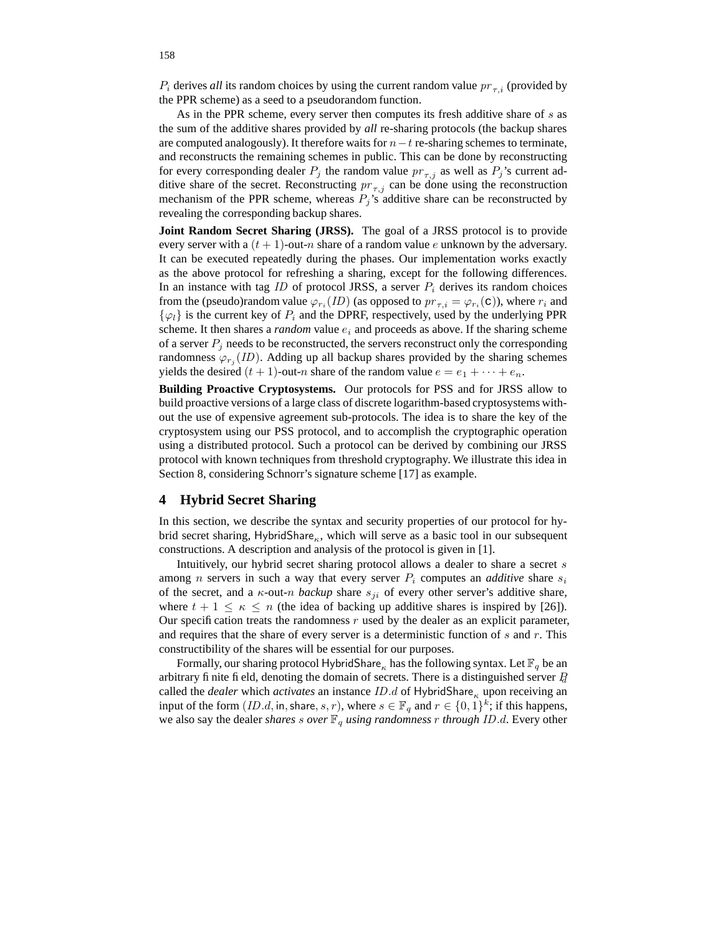$P_i$  derives *all* its random choices by using the current random value  $pr_{\tau i}$  (provided by the PPR scheme) as a seed to a pseudorandom function.

As in the PPR scheme, every server then computes its fresh additive share of s as the sum of the additive shares provided by *all* re-sharing protocols (the backup shares are computed analogously). It therefore waits for  $n-t$  re-sharing schemes to terminate, and reconstructs the remaining schemes in public. This can be done by reconstructing for every corresponding dealer  $P_j$  the random value  $pr_{\tau, j}$  as well as  $P_j$ 's current additive share of the secret. Reconstructing  $pr_{\tau,j}$  can be done using the reconstruction mechanism of the PPR scheme, whereas  $P_j$ 's additive share can be reconstructed by revealing the corresponding backup shares.

**Joint Random Secret Sharing (JRSS).** The goal of a JRSS protocol is to provide every server with a  $(t + 1)$ -out-n share of a random value e unknown by the adversary. It can be executed repeatedly during the phases. Our implementation works exactly as the above protocol for refreshing a sharing, except for the following differences. In an instance with tag ID of protocol JRSS, a server  $P_i$  derives its random choices from the (pseudo)random value  $\varphi_{r_i}(ID)$  (as opposed to  $pr_{\tau,i} = \varphi_{r_i}(c)$ ), where  $r_i$  and  $\{\varphi_l\}$  is the current key of  $P_i$  and the DPRF, respectively, used by the underlying PPR scheme. It then shares a *random* value  $e_i$  and proceeds as above. If the sharing scheme of a server  $P_i$  needs to be reconstructed, the servers reconstruct only the corresponding randomness  $\varphi_{r_j}(ID)$ . Adding up all backup shares provided by the sharing schemes yields the desired  $(t + 1)$ -out-n share of the random value  $e = e_1 + \cdots + e_n$ .

**Building Proactive Cryptosystems.** Our protocols for PSS and for JRSS allow to build proactive versions of a large class of discrete logarithm-based cryptosystems without the use of expensive agreement sub-protocols. The idea is to share the key of the cryptosystem using our PSS protocol, and to accomplish the cryptographic operation using a distributed protocol. Such a protocol can be derived by combining our JRSS protocol with known techniques from threshold cryptography. We illustrate this idea in Section 8, considering Schnorr's signature scheme [17] as example.

#### **4 Hybrid Secret Sharing**

In this section, we describe the syntax and security properties of our protocol for hybrid secret sharing, HybridShare<sub> $\kappa$ </sub>, which will serve as a basic tool in our subsequent constructions. A description and analysis of the protocol is given in [1].

Intuitively, our hybrid secret sharing protocol allows a dealer to share a secret s among *n* servers in such a way that every server  $P_i$  computes an *additive* share  $s_i$ of the secret, and a  $\kappa$ -out-n *backup* share  $s_{ji}$  of every other server's additive share, where  $t + 1 \leq \kappa \leq n$  (the idea of backing up additive shares is inspired by [26]). Our specification treats the randomness  $r$  used by the dealer as an explicit parameter, and requires that the share of every server is a deterministic function of  $s$  and  $r$ . This constructibility of the shares will be essential for our purposes.

Formally, our sharing protocol HybridShare<sub> $\kappa$ </sub> has the following syntax. Let  $\mathbb{F}_q$  be an arbitrary finite field, denoting the domain of secrets. There is a distinguished server  $\vec{H}$ called the *dealer* which *activates* an instance ID.d of HybridShare<sub> $\kappa$ </sub> upon receiving an input of the form  $(ID.d, in, share, s, r)$ , where  $s \in \mathbb{F}_q$  and  $r \in \{0,1\}^k$ ; if this happens, we also say the dealer *shares* s over  $\mathbb{F}_q$  *using randomness* r *through ID.d.* Every other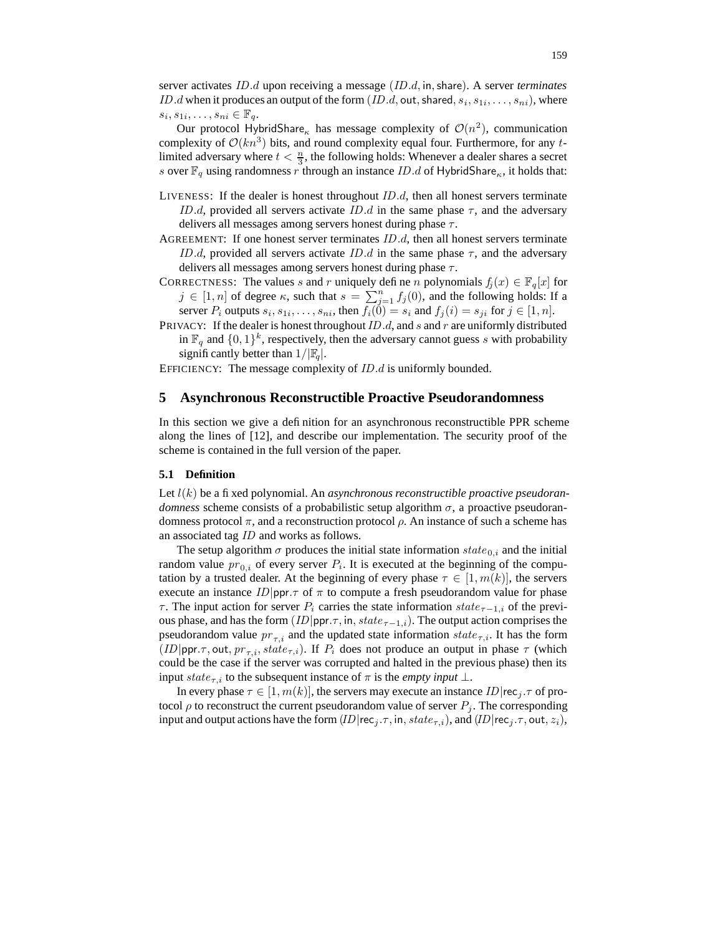server activates ID.d upon receiving a message (ID.d, in,share). A server *terminates* ID.d when it produces an output of the form  $(ID.d, out, shared, s_i, s_{1i},...,s_{ni}),$  where  $s_i, s_{1i}, \ldots, s_{ni} \in \mathbb{F}_q.$ 

Our protocol HybridShare<sub> $\kappa$ </sub> has message complexity of  $\mathcal{O}(n^2)$ , communication complexity of  $\mathcal{O}(kn^3)$  bits, and round complexity equal four. Furthermore, for any tlimited adversary where  $t < \frac{n}{3}$ , the following holds: Whenever a dealer shares a secret s over  $\mathbb{F}_q$  using randomness r through an instance ID.d of HybridShare<sub> $\kappa$ </sub>, it holds that:

- LIVENESS: If the dealer is honest throughout  $ID.d$ , then all honest servers terminate ID.d, provided all servers activate ID.d in the same phase  $\tau$ , and the adversary delivers all messages among servers honest during phase  $\tau$ .
- AGREEMENT: If one honest server terminates  $ID.d$ , then all honest servers terminate ID.d, provided all servers activate ID.d in the same phase  $\tau$ , and the adversary delivers all messages among servers honest during phase  $\tau$ .
- CORRECTNESS: The values s and r uniquely define n polynomials  $f_i(x) \in \mathbb{F}_q[x]$  for  $j \in [1, n]$  of degree  $\kappa$ , such that  $s = \sum_{j=1}^{n} f_j(0)$ , and the following holds: If a server  $P_i$  outputs  $s_i, s_{1i}, \ldots, s_{ni}$ , then  $f_i(0) = s_i$  and  $f_j(i) = s_{ji}$  for  $j \in [1, n]$ .
- PRIVACY: If the dealer is honest throughout  $ID.d$ , and s and r are uniformly distributed in  $\mathbb{F}_q$  and  $\{0,1\}^k$ , respectively, then the adversary cannot guess s with probability significantly better than  $1/|\mathbb{F}_{q}|$ .

EFFICIENCY: The message complexity of  $ID.d$  is uniformly bounded.

#### **5 Asynchronous Reconstructible Proactive Pseudorandomness**

In this section we give a definition for an asynchronous reconstructible PPR scheme along the lines of [12], and describe our implementation. The security proof of the scheme is contained in the full version of the paper.

#### **5.1 Definition**

Let l(k) be a fixed polynomial. An *asynchronous reconstructible proactive pseudorandomness* scheme consists of a probabilistic setup algorithm  $\sigma$ , a proactive pseudorandomness protocol π, and a reconstruction protocol  $ρ$ . An instance of such a scheme has an associated tag ID and works as follows.

The setup algorithm  $\sigma$  produces the initial state information  $state_{0,i}$  and the initial random value  $pr_{0,i}$  of every server  $P_i$ . It is executed at the beginning of the computation by a trusted dealer. At the beginning of every phase  $\tau \in [1, m(k)]$ , the servers execute an instance  $ID|ppr.\tau$  of  $\pi$  to compute a fresh pseudorandom value for phase  $\tau$ . The input action for server  $P_i$  carries the state information state<sub> $\tau$ −1,i</sub> of the previous phase, and has the form  $(ID | ppr.\tau, in, state_{\tau-1,i})$ . The output action comprises the pseudorandom value  $pr_{\tau,i}$  and the updated state information  $state_{\tau,i}$ . It has the form (ID|ppr. $\tau$ , out,  $pr_{\tau,i}$ , state $_{\tau,i}$ ). If  $P_i$  does not produce an output in phase  $\tau$  (which could be the case if the server was corrupted and halted in the previous phase) then its input  $state_{\tau,i}$  to the subsequent instance of  $\pi$  is the *empty input* ⊥.

In every phase  $\tau \in [1, m(k)]$ , the servers may execute an instance  $ID|rec_j.\tau$  of protocol  $\rho$  to reconstruct the current pseudorandom value of server  $P_i$ . The corresponding input and output actions have the form  $(ID|rec_j.\tau, in, state_{\tau,i})$ , and  $(ID|rec_j.\tau, out, z_i)$ ,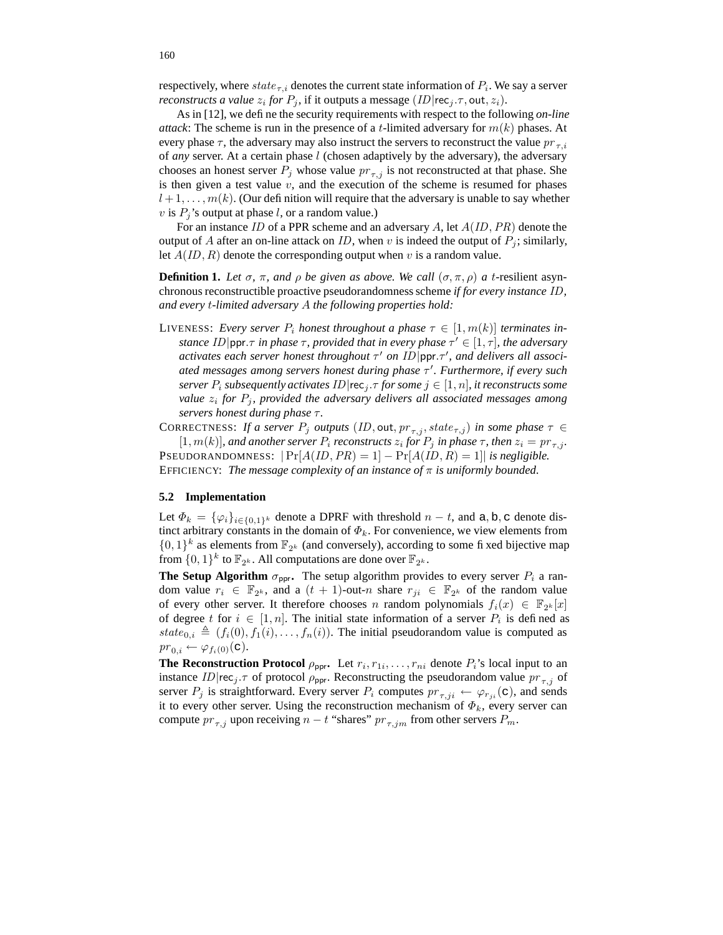respectively, where  $state_{\tau,i}$  denotes the current state information of  $P_i$ . We say a server *reconstructs a value*  $z_i$  *for*  $P_j$ *,* if it outputs a message  $(ID|$ rec $_j. \tau,$  out,  $z_i).$ 

As in [12], we define the security requirements with respect to the following *on-line attack*: The scheme is run in the presence of a *t*-limited adversary for  $m(k)$  phases. At every phase  $\tau$ , the adversary may also instruct the servers to reconstruct the value  $pr_{\tau i}$ of *any* server. At a certain phase l (chosen adaptively by the adversary), the adversary chooses an honest server  $P_j$  whose value  $pr_{\tau, j}$  is not reconstructed at that phase. She is then given a test value  $v$ , and the execution of the scheme is resumed for phases  $l+1, \ldots, m(k)$ . (Our definition will require that the adversary is unable to say whether v is  $P_i$ 's output at phase l, or a random value.)

For an instance ID of a PPR scheme and an adversary A, let  $A(ID, PR)$  denote the output of A after an on-line attack on ID, when v is indeed the output of  $P_i$ ; similarly, let  $A(ID, R)$  denote the corresponding output when v is a random value.

**Definition 1.** Let  $\sigma$ ,  $\pi$ , and  $\rho$  be given as above. We call  $(\sigma, \pi, \rho)$  a t-resilient asynchronous reconstructible proactive pseudorandomness scheme *if for every instance* ID*, and every* t*-limited adversary* A *the following properties hold:*

LIVENESS: *Every server*  $P_i$  *honest throughout a phase*  $\tau \in [1, m(k)]$  *terminates instance*  $ID|$ ppr. $\tau$  *in phase*  $\tau$ *, provided that in every phase*  $\tau' \in [1, \tau]$ *, the adversary activates each server honest throughout*  $\tau'$  *on ID* |ppr. $\tau'$ , *and delivers all associated messages among servers honest during phase* τ 0 *. Furthermore, if every such server*  $P_i$  *subsequently activates*  $ID|\nvert \nvert e_i \cdot \tau$  *for some*  $j \in [1, n]$ *, it reconstructs some value*  $z_i$  for  $P_j$ , provided the adversary delivers all associated messages among *servers honest during phase* τ *.*

CORRECTNESS: If a server  $P_j$  outputs (ID, out,  $pr_{\tau, j}$ , state<sub> $\tau, j$ </sub>) in some phase  $\tau \in$  $[1, m(k)]$ , and another server  $P_i$  reconstructs  $z_i$  for  $P_j$  in phase  $\tau$ , then  $z_i = pr_{\tau, j}$ . PSEUDORANDOMNESS:  $|\Pr[A(ID, PR) = 1] - \Pr[A(ID, R) = 1]|$  *is negligible.* EFFICIENCY: *The message complexity of an instance of*  $\pi$  *is uniformly bounded.* 

# **5.2 Implementation**

Let  $\Phi_k = {\varphi_i}_{i \in \{0,1\}^k}$  denote a DPRF with threshold  $n - t$ , and a, b, c denote distinct arbitrary constants in the domain of  $\Phi_k$ . For convenience, we view elements from  $\{0,1\}^k$  as elements from  $\mathbb{F}_{2^k}$  (and conversely), according to some fixed bijective map from  $\{0,1\}^k$  to  $\mathbb{F}_{2^k}$ . All computations are done over  $\mathbb{F}_{2^k}$ .

**The Setup Algorithm**  $\sigma_{\text{ppr}}$ . The setup algorithm provides to every server  $P_i$  a random value  $r_i \in \mathbb{F}_{2^k}$ , and a  $(t + 1)$ -out-n share  $r_{ji} \in \mathbb{F}_{2^k}$  of the random value of every other server. It therefore chooses n random polynomials  $f_i(x) \in \mathbb{F}_{2^k}[x]$ of degree t for  $i \in [1, n]$ . The initial state information of a server  $P_i$  is defined as state<sub>0,i</sub>  $\triangleq$  ( $f_i(0), f_1(i), \ldots, f_n(i)$ ). The initial pseudorandom value is computed as  $pr_{0,i} \leftarrow \varphi_{f_i(0)}(c).$ 

**The Reconstruction Protocol**  $\rho_{\text{ppr}}$ . Let  $r_i, r_{1i}, \ldots, r_{ni}$  denote  $P_i$ 's local input to an instance  $ID|\text{rec}_j.\tau$  of protocol  $\rho_{\text{ppr}}$ . Reconstructing the pseudorandom value  $pr_{\tau,j}$  of server  $P_j$  is straightforward. Every server  $P_i$  computes  $pr_{\tau,ji} \leftarrow \varphi_{r_{ji}}(c)$ , and sends it to every other server. Using the reconstruction mechanism of  $\Phi_k$ , every server can compute  $pr_{\tau,j}$  upon receiving  $n - t$  "shares"  $pr_{\tau,jm}$  from other servers  $P_m$ .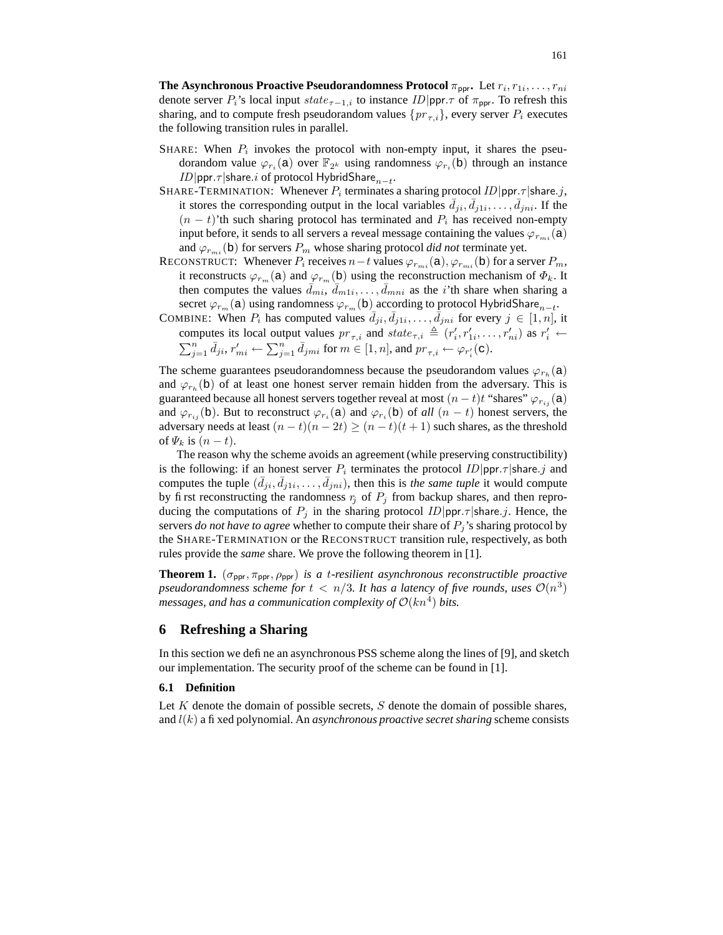**The Asynchronous Proactive Pseudorandomness Protocol**  $\pi_{\text{ppr}}$ **. Let**  $r_i, r_{1i}, \ldots, r_{ni}$ denote server  $P_i$ 's local input  $state_{\tau-1,i}$  to instance  $ID|ppr.\tau$  of  $\pi_{ppr}$ . To refresh this sharing, and to compute fresh pseudorandom values  $\{pr_{\tau,i}\}\,$  every server  $P_i$  executes the following transition rules in parallel.

- SHARE: When  $P_i$  invokes the protocol with non-empty input, it shares the pseudorandom value  $\varphi_{r_i}(\mathsf{a})$  over  $\mathbb{F}_{2^k}$  using randomness  $\varphi_{r_i}(\mathsf{b})$  through an instance  $ID|$ ppr. $\tau$ |share. $i$  of protocol HybridShare $_{n-t}.$
- SHARE-TERMINATION: Whenever  $P_i$  terminates a sharing protocol  $ID|$ ppr. $\tau$  | share.j, it stores the corresponding output in the local variables  $\bar{d}_{ji}, \bar{d}_{j1}, \ldots, \bar{d}_{jn}$ . If the  $(n - t)$ 'th such sharing protocol has terminated and  $P_i$  has received non-empty input before, it sends to all servers a reveal message containing the values  $\varphi_{rmi}(\mathsf{a})$ and  $\varphi_{r_m}$  (b) for servers  $P_m$  whose sharing protocol *did not* terminate yet.
- RECONSTRUCT: Whenever  $P_i$  receives  $n-t$  values  $\varphi_{rmi}(\mathsf{a}), \varphi_{rmi}(\mathsf{b})$  for a server  $P_m$ , it reconstructs  $\varphi_{r_m}(\mathsf{a})$  and  $\varphi_{r_m}(\mathsf{b})$  using the reconstruction mechanism of  $\Phi_k$ . It then computes the values  $\bar{d}_{mi}, \bar{d}_{mi}, \ldots, \bar{d}_{mni}$  as the *i*'th share when sharing a secret  $\varphi_{r_m}(\mathsf{a})$  using randomness  $\varphi_{r_m}(\mathsf{b})$  according to protocol HybridShare $_{n-t}.$
- COMBINE: When  $P_i$  has computed values  $\bar{d}_{ji}, \bar{d}_{j1i}, \ldots, \bar{d}_{jni}$  for every  $j \in [1, n]$ , it computes its local output values  $pr_{\tau,i}$  and  $state_{\tau,i} \triangleq (r'_i, r'_{1i}, \ldots, r'_{ni})$  as  $r'_i \leftarrow$  $\sum_{j=1}^n \bar{d}_{ji}$ ,  $r'_{mi} \leftarrow \sum_{j=1}^n \bar{d}_{jmi}$  for  $m \in [1, n]$ , and  $pr_{\tau,i} \leftarrow \varphi_{r_i'}(c)$ .

The scheme guarantees pseudorandomness because the pseudorandom values  $\varphi_{r_h}(\mathsf{a})$ and  $\varphi_{r_h}(\mathbf{b})$  of at least one honest server remain hidden from the adversary. This is guaranteed because all honest servers together reveal at most  $(n-t)t$  "shares"  $\varphi_{r_{ij}}(a)$ and  $\varphi_{r_{ij}}(b)$ . But to reconstruct  $\varphi_{r_i}(a)$  and  $\varphi_{r_i}(b)$  of *all*  $(n-t)$  honest servers, the adversary needs at least  $(n-t)(n-2t) \ge (n-t)(t+1)$  such shares, as the threshold of  $\Psi_k$  is  $(n-t)$ .

The reason why the scheme avoids an agreement (while preserving constructibility) is the following: if an honest server  $P_i$  terminates the protocol  $ID|ppr.\tau|$ share.j and computes the tuple  $(\bar{d}_{ji}, \bar{d}_{j1i}, \ldots, \bar{d}_{jni})$ , then this is *the same tuple* it would compute by first reconstructing the randomness  $r_j$  of  $P_j$  from backup shares, and then reproducing the computations of  $P_j$  in the sharing protocol ID|ppr.  $\tau$ |share. *j*. Hence, the servers *do not have to agree* whether to compute their share of  $P_j$ 's sharing protocol by the SHARE-TERMINATION or the RECONSTRUCT transition rule, respectively, as both rules provide the *same* share. We prove the following theorem in [1].

**Theorem 1.**  $(\sigma_{\text{ppr}}, \pi_{\text{ppr}}, \rho_{\text{ppr}})$  *is a t-resilient asynchronous reconstructible proactive pseudorandomness scheme for*  $t < n/3$ . It has a latency of five rounds, uses  $\mathcal{O}(n^3)$ messages, and has a communication complexity of  $\mathcal{O}(kn^4)$  bits.

#### **6 Refreshing a Sharing**

In this section we define an asynchronous PSS scheme along the lines of [9], and sketch our implementation. The security proof of the scheme can be found in [1].

#### **6.1 Definition**

Let  $K$  denote the domain of possible secrets,  $S$  denote the domain of possible shares, and l(k) a fixed polynomial. An *asynchronous proactive secret sharing* scheme consists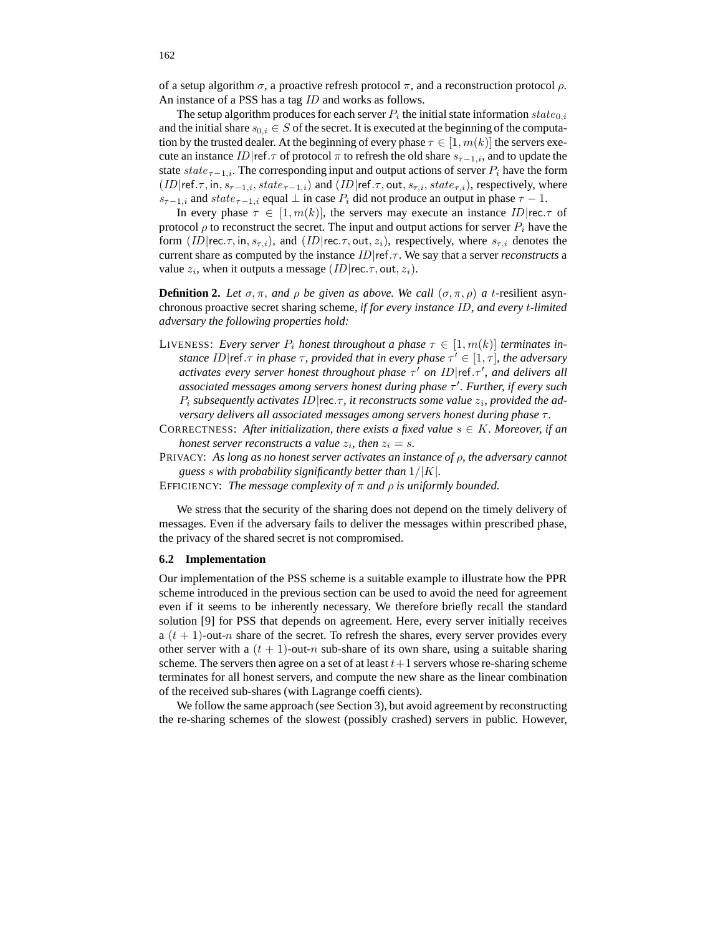of a setup algorithm  $\sigma$ , a proactive refresh protocol  $\pi$ , and a reconstruction protocol  $\rho$ . An instance of a PSS has a tag ID and works as follows.

The setup algorithm produces for each server  $P_i$  the initial state information  $state_{0,i}$ and the initial share  $s_{0,i} \in S$  of the secret. It is executed at the beginning of the computation by the trusted dealer. At the beginning of every phase  $\tau \in [1, m(k)]$  the servers execute an instance ID|ref. $\tau$  of protocol  $\pi$  to refresh the old share  $s_{\tau-1,i}$ , and to update the state state<sub> $\tau-1,i$ </sub>. The corresponding input and output actions of server  $P_i$  have the form  $(ID|ref.\tau, in, s_{\tau-1,i}, state_{\tau-1,i})$  and  $(ID|ref.\tau, out, s_{\tau,i}, state_{\tau,i})$ , respectively, where  $s_{\tau-1,i}$  and  $state_{\tau-1,i}$  equal  $\perp$  in case  $P_i$  did not produce an output in phase  $\tau - 1$ .

In every phase  $\tau \in [1, m(k)]$ , the servers may execute an instance ID|rec.  $\tau$  of protocol  $\rho$  to reconstruct the secret. The input and output actions for server  $P_i$  have the form  $(ID|rec.\tau, in, s_{\tau,i})$ , and  $(ID|rec.\tau, out, z_i)$ , respectively, where  $s_{\tau,i}$  denotes the current share as computed by the instance  $ID|\text{ref}.\tau$ . We say that a server *reconstructs* a value  $z_i$ , when it outputs a message (ID | rec.  $\tau$ , out,  $z_i$ ).

**Definition 2.** *Let*  $\sigma$ ,  $\pi$ , *and*  $\rho$  *be given as above. We call*  $(\sigma, \pi, \rho)$  *a t*-resilient asynchronous proactive secret sharing scheme*, if for every instance* ID*, and every* t*-limited adversary the following properties hold:*

- LIVENESS: *Every server*  $P_i$  *honest throughout a phase*  $\tau \in [1, m(k)]$  *terminates instance*  $ID|\text{ref.}\tau$  *in phase*  $\tau$ *, provided that in every phase*  $\tau' \in [1, \tau]$ *, the adversary activates every server honest throughout phase*  $\tau'$  *on ID*|ref. $\tau'$ , *and delivers all associated messages among servers honest during phase* τ 0 *. Further, if every such*  $P_i$  *subsequently activates ID*  $|{\text{rec}}.\tau,$  *it reconstructs some value*  $z_i$ *, provided the adversary delivers all associated messages among servers honest during phase* τ *.*
- CORRECTNESS: After *initialization, there exists a fixed value*  $s \in K$ *. Moreover, if an honest server reconstructs a value*  $z_i$ *, then*  $z_i = s$ *.*
- PRIVACY: *As long as no honest server activates an instance of* ρ*, the adversary cannot guess* s *with probability significantly better than* 1/|K|*.*
- EFFICIENCY: *The message complexity of*  $\pi$  *and*  $\rho$  *is uniformly bounded.*

We stress that the security of the sharing does not depend on the timely delivery of messages. Even if the adversary fails to deliver the messages within prescribed phase, the privacy of the shared secret is not compromised.

#### **6.2 Implementation**

Our implementation of the PSS scheme is a suitable example to illustrate how the PPR scheme introduced in the previous section can be used to avoid the need for agreement even if it seems to be inherently necessary. We therefore briefly recall the standard solution [9] for PSS that depends on agreement. Here, every server initially receives a  $(t + 1)$ -out-*n* share of the secret. To refresh the shares, every server provides every other server with a  $(t + 1)$ -out-n sub-share of its own share, using a suitable sharing scheme. The servers then agree on a set of at least  $t+1$  servers whose re-sharing scheme terminates for all honest servers, and compute the new share as the linear combination of the received sub-shares (with Lagrange coefficients).

We follow the same approach (see Section 3), but avoid agreement by reconstructing the re-sharing schemes of the slowest (possibly crashed) servers in public. However,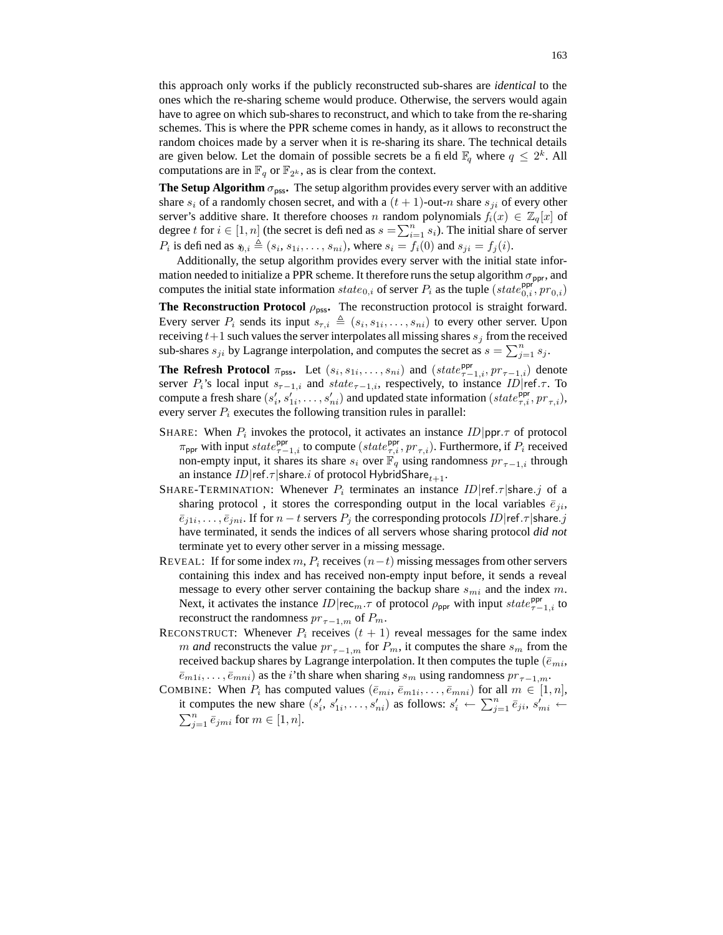this approach only works if the publicly reconstructed sub-shares are *identical* to the ones which the re-sharing scheme would produce. Otherwise, the servers would again have to agree on which sub-shares to reconstruct, and which to take from the re-sharing schemes. This is where the PPR scheme comes in handy, as it allows to reconstruct the random choices made by a server when it is re-sharing its share. The technical details are given below. Let the domain of possible secrets be a field  $\mathbb{F}_q$  where  $q \leq 2^k$ . All computations are in  $\mathbb{F}_q$  or  $\mathbb{F}_{2^k}$ , as is clear from the context.

**The Setup Algorithm**  $\sigma_{\text{pss}}$ . The setup algorithm provides every server with an additive share  $s_i$  of a randomly chosen secret, and with a  $(t + 1)$ -out-n share  $s_{ji}$  of every other server's additive share. It therefore chooses n random polynomials  $f_i(x) \in \mathbb{Z}_q[x]$  of degree t for  $i \in [1, n]$  (the secret is defined as  $s = \sum_{i=1}^{n} s_i$ ). The initial share of server  $P_i$  is defined as  $\mathfrak{g}_{i} \triangleq (s_i, s_{1i}, \ldots, s_{ni})$ , where  $s_i = f_i(0)$  and  $s_{ji} = f_j(i)$ .

Additionally, the setup algorithm provides every server with the initial state information needed to initialize a PPR scheme. It therefore runs the setup algorithm  $\sigma_{\mathsf{ppr}}$ , and computes the initial state information  $state_{0,i}$  of server  $P_i$  as the tuple  $(state_{0,i}^{opt}, pr_{0,i})$ 

**The Reconstruction Protocol**  $\rho_{\text{pss}}$ . The reconstruction protocol is straight forward. Every server  $P_i$  sends its input  $s_{\tau,i} \triangleq (s_i, s_{1i}, \ldots, s_{ni})$  to every other server. Upon receiving  $t+1$  such values the server interpolates all missing shares  $s_j$  from the received sub-shares  $s_{ji}$  by Lagrange interpolation, and computes the secret as  $s = \sum_{j=1}^{n} s_j$ .

**The Refresh Protocol**  $\pi_{\text{pss}}$ . Let  $(s_i, s_{1i}, \ldots, s_{ni})$  and  $(state_{\tau-1,i}^{\text{ppr}}, pr_{\tau-1,i})$  denote server  $P_i$ 's local input  $s_{\tau-1,i}$  and  $state_{\tau-1,i}$ , respectively, to instance ID|ref. $\tau$ . To compute a fresh share  $(s'_i, s'_{1i}, \ldots, s'_{ni})$  and updated state information  $(state_{\tau,i}^{ppr}, pr_{\tau,i})$ , every server  $P_i$  executes the following transition rules in parallel:

- SHARE: When  $P_i$  invokes the protocol, it activates an instance  $ID|ppr.\tau$  of protocol  $\pi_{\text{ppr}}$  with input  $state_{\tau-1,i}^{\text{ppr}}$  to compute  $(state_{\tau,i}^{\text{ppr}}, pr_{\tau,i})$ . Furthermore, if  $P_i$  received non-empty input, it shares its share  $s_i$  over  $\mathbb{F}_q$  using randomness  $pr_{\tau-1,i}$  through an instance  $ID$ |ref. $\tau$ |share.i of protocol HybridShare<sub>t+1</sub>.
- SHARE-TERMINATION: Whenever  $P_i$  terminates an instance  $ID$ |ref. $\tau$ |share.j of a sharing protocol, it stores the corresponding output in the local variables  $\bar{e}_{ji}$ ,  $\bar e_{j1i},\ldots,\bar e_{jni}.$  If for  $n-t$  servers  $P_j$  the corresponding protocols  $ID|$ ref. $\tau$ |share. $j$ have terminated, it sends the indices of all servers whose sharing protocol *did not* terminate yet to every other server in a missing message.
- REVEAL: If for some index  $m, P_i$  receives  $(n-t)$  missing messages from other servers containing this index and has received non-empty input before, it sends a reveal message to every other server containing the backup share  $s_{mi}$  and the index m. Next, it activates the instance  $ID|\text{rec}_{m}.\tau$  of protocol  $\rho_{\text{ppr}}$  with input  $state_{\tau-1,i}^{\text{ppr}}$  to reconstruct the randomness  $pr_{\tau-1,m}$  of  $P_m$ .
- RECONSTRUCT: Whenever  $P_i$  receives  $(t + 1)$  reveal messages for the same index *m and* reconstructs the value  $pr_{\tau-1,m}$  for  $P_m$ , it computes the share  $s_m$  from the received backup shares by Lagrange interpolation. It then computes the tuple ( $\bar{e}_{mi}$ ,  $\bar{e}_{m1i}, \ldots, \bar{e}_{mni}$ ) as the *i*'th share when sharing  $s_m$  using randomness  $pr_{\tau-1,m}$ .
- COMBINE: When  $P_i$  has computed values  $(\bar{e}_{mi}, \bar{e}_{m1i}, \ldots, \bar{e}_{mni})$  for all  $m \in [1, n]$ , it computes the new share  $(s'_i, s'_{1i}, \ldots, s'_{ni})$  as follows:  $s'_i \leftarrow \sum_{j=1}^n \bar{e}_{ji}, s'_{mi} \leftarrow$  $\sum_{j=1}^{n} \bar{e}_{jmi}$  for  $m \in [1, n]$ .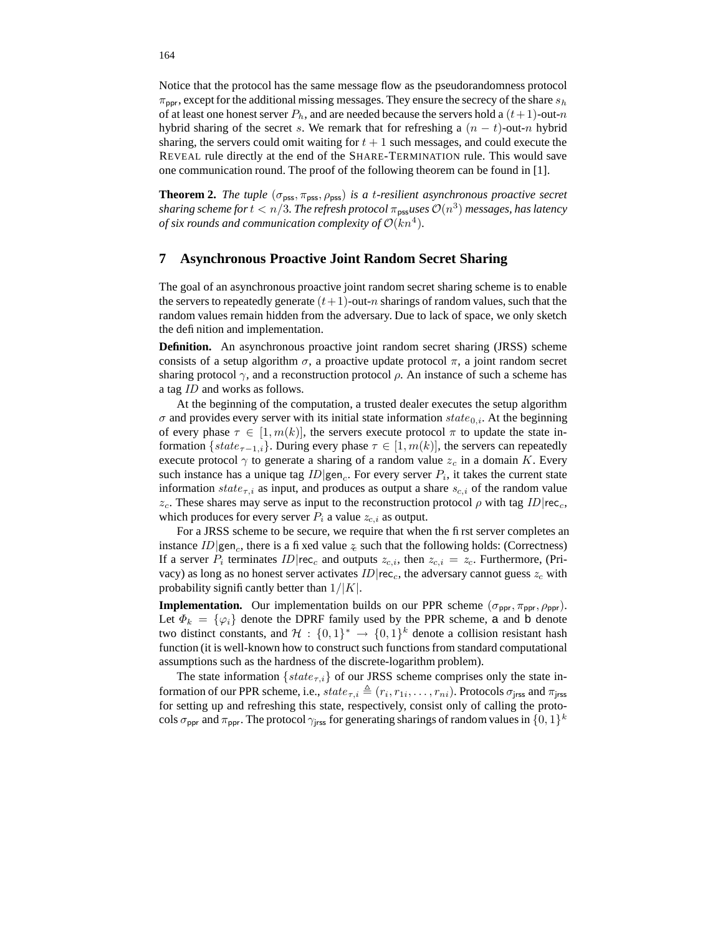Notice that the protocol has the same message flow as the pseudorandomness protocol  $\pi_{\text{ppr}}$ , except for the additional missing messages. They ensure the secrecy of the share  $s_h$ of at least one honest server  $P_h$ , and are needed because the servers hold a  $(t+1)$ -out-n hybrid sharing of the secret s. We remark that for refreshing a  $(n - t)$ -out-n hybrid sharing, the servers could omit waiting for  $t + 1$  such messages, and could execute the REVEAL rule directly at the end of the SHARE-TERMINATION rule. This would save one communication round. The proof of the following theorem can be found in [1].

**Theorem 2.** The tuple  $(\sigma_{\text{pss}}, \pi_{\text{pss}}, \rho_{\text{pss}})$  *is a t-resilient asynchronous proactive secret*  $s$ haring  $s$ cheme  $f$ or  $t < n/3$ . The refresh protocol  $\pi_{\mathsf{pss}}$ uses  $\mathcal{O}(n^3)$  messages, has latency *of six rounds and communication complexity of*  $\mathcal{O}(kn^4)$ *.* 

#### **7 Asynchronous Proactive Joint Random Secret Sharing**

The goal of an asynchronous proactive joint random secret sharing scheme is to enable the servers to repeatedly generate  $(t+1)$ -out-n sharings of random values, such that the random values remain hidden from the adversary. Due to lack of space, we only sketch the definition and implementation.

**Definition.** An asynchronous proactive joint random secret sharing (JRSS) scheme consists of a setup algorithm  $\sigma$ , a proactive update protocol  $\pi$ , a joint random secret sharing protocol  $\gamma$ , and a reconstruction protocol  $\rho$ . An instance of such a scheme has a tag ID and works as follows.

At the beginning of the computation, a trusted dealer executes the setup algorithm  $\sigma$  and provides every server with its initial state information state  $_{0,i}$ . At the beginning of every phase  $\tau \in [1, m(k)]$ , the servers execute protocol  $\pi$  to update the state information { $state_{\tau-1,i}$ }. During every phase  $\tau \in [1, m(k)]$ , the servers can repeatedly execute protocol  $\gamma$  to generate a sharing of a random value  $z_c$  in a domain K. Every such instance has a unique tag  $ID|\text{gen}_c$ . For every server  $P_i$ , it takes the current state information  $state_{\tau,i}$  as input, and produces as output a share  $s_{c,i}$  of the random value  $z_c$ . These shares may serve as input to the reconstruction protocol  $\rho$  with tag ID|rec<sub>c</sub>, which produces for every server  $P_i$  a value  $z_{c,i}$  as output.

For a JRSS scheme to be secure, we require that when the first server completes an instance  $ID|\text{gen}_c$ , there is a fixed value  $z$  such that the following holds: (Correctness) If a server  $P_i$  terminates  $ID|\text{rec}_c$  and outputs  $z_{c,i}$ , then  $z_{c,i} = z_c$ . Furthermore, (Privacy) as long as no honest server activates  $ID|\text{rec}_c$ , the adversary cannot guess  $z_c$  with probability significantly better than  $1/|K|$ .

**Implementation.** Our implementation builds on our PPR scheme  $(\sigma_{\text{ppr}}, \pi_{\text{ppr}}, \rho_{\text{ppr}})$ . Let  $\Phi_k = {\varphi_i}$  denote the DPRF family used by the PPR scheme, a and b denote two distinct constants, and  $\mathcal{H}: \{0,1\}^* \to \{0,1\}^k$  denote a collision resistant hash function (it is well-known how to construct such functionsfrom standard computational assumptions such as the hardness of the discrete-logarithm problem).

The state information  $\{state_{\tau,i}\}\$  of our JRSS scheme comprises only the state information of our PPR scheme, i.e.,  $state_{\tau,i} \triangleq (r_i, r_{1i}, \ldots, r_{ni})$ . Protocols  $\sigma_{\text{jrss}}$  and  $\pi_{\text{jrss}}$ for setting up and refreshing this state, respectively, consist only of calling the protocols  $\sigma_{\sf ppr}$  and  $\pi_{\sf ppr}$ . The protocol  $\gamma_{\sf jrss}$  for generating sharings of random values in  $\{0,1\}^k$ 

164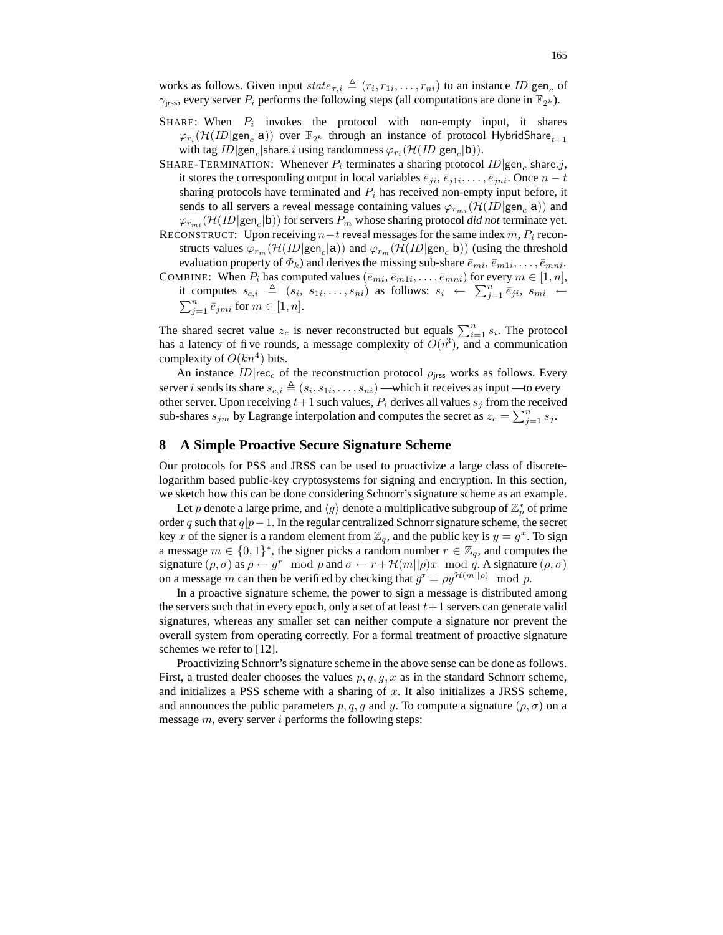works as follows. Given input  $state_{\tau,i} \triangleq (r_i, r_{1i}, \ldots, r_{ni})$  to an instance  $ID|gen_c$  of  $\gamma_{\rm{jrss}}$ , every server  $P_i$  performs the following steps (all computations are done in  $\mathbb{F}_{2^k}$ ).

- SHARE: When  $P_i$  invokes the protocol with non-empty input, it shares  $\varphi_{r_i}(\mathcal{H}(ID | gen_c | a))$  over  $\mathbb{F}_{2^k}$  through an instance of protocol HybridShare $_{t+1}$ with tag  $ID|$ gen<sub>c</sub>|share.*i* using randomness  $\varphi_{r_i}(\mathcal{H}(ID|gen_c|b)).$
- SHARE-TERMINATION: Whenever  $P_i$  terminates a sharing protocol  $ID|gen_c|share.j$ , it stores the corresponding output in local variables  $\bar{e}_{ji}$ ,  $\bar{e}_{j1i}$ , ...,  $\bar{e}_{jni}$ . Once  $n - t$ sharing protocols have terminated and  $P_i$  has received non-empty input before, it sends to all servers a reveal message containing values  $\varphi_{r_{mi}}(\mathcal{H}(ID | \mathsf{gen}_c | \mathsf{a}))$  and  $\varphi_{r_{mi}}(\mathcal{H}(ID|\text{gen}_c|b))$  for servers  $P_m$  whose sharing protocol *did not* terminate yet.
- RECONSTRUCT: Upon receiving  $n-t$  reveal messages for the same index  $m, P_i$  reconstructs values  $\varphi_{r_m}(\mathcal{H}(ID | \text{gen}_c | \texttt{a}))$  and  $\varphi_{r_m}(\mathcal{H}(ID | \text{gen}_c | \texttt{b}))$  (using the threshold evaluation property of  $\Phi_k$ ) and derives the missing sub-share  $\bar{e}_{mi}, \bar{e}_{m1i}, \ldots, \bar{e}_{mni}$ .
- COMBINE: When  $P_i$  has computed values  $(\bar{e}_{mi}, \bar{e}_{m1i}, \dots, \bar{e}_{mni})$  for every  $m \in [1, n]$ , it computes  $s_{c,i} \triangleq (s_i, s_{1i},...,s_{ni})$  as follows:  $s_i \leftarrow \sum_{j=1}^n \bar{e}_{ji}, s_{mi} \leftarrow$  $\sum_{j=1}^n \bar{e}_{jmi}$  for  $m \in [1, n]$ .

The shared secret value  $z_c$  is never reconstructed but equals  $\sum_{i=1}^{n} s_i$ . The protocol has a latency of five rounds, a message complexity of  $O(n^3)$ , and a communication complexity of  $O(kn^4)$  bits.

An instance  $ID|\text{rec}_c$  of the reconstruction protocol  $\rho_{\text{irss}}$  works as follows. Every server *i* sends its share  $s_{c,i} \triangleq (s_i, s_{1i}, \ldots, s_{ni})$  —which it receives as input —to every other server. Upon receiving  $t+1$  such values,  $P_i$  derives all values  $s_i$  from the received sub-shares  $s_{jm}$  by Lagrange interpolation and computes the secret as  $z_c = \sum_{j=1}^n s_j$ .

#### **8 A Simple Proactive Secure Signature Scheme**

Our protocols for PSS and JRSS can be used to proactivize a large class of discretelogarithm based public-key cryptosystems for signing and encryption. In this section, we sketch how this can be done considering Schnorr's signature scheme as an example.

Let p denote a large prime, and  $\langle g \rangle$  denote a multiplicative subgroup of  $\mathbb{Z}_p^*$  of prime order q such that  $q|p-1$ . In the regular centralized Schnorr signature scheme, the secret key x of the signer is a random element from  $\mathbb{Z}_q$ , and the public key is  $y = g^x$ . To sign a message  $m \in \{0,1\}^*$ , the signer picks a random number  $r \in \mathbb{Z}_q$ , and computes the signature  $(\rho, \sigma)$  as  $\rho \leftarrow g^r \mod p$  and  $\sigma \leftarrow r + \mathcal{H}(m||\rho)x \mod q$ . A signature  $(\rho, \sigma)$ on a message m can then be verified by checking that  $g^r = \rho y^{\mathcal{H}(m||\rho)} \mod p$ .

In a proactive signature scheme, the power to sign a message is distributed among the servers such that in every epoch, only a set of at least  $t+1$  servers can generate valid signatures, whereas any smaller set can neither compute a signature nor prevent the overall system from operating correctly. For a formal treatment of proactive signature schemes we refer to [12].

Proactivizing Schnorr's signature scheme in the above sense can be done as follows. First, a trusted dealer chooses the values  $p, q, q, x$  as in the standard Schnorr scheme, and initializes a PSS scheme with a sharing of  $x$ . It also initializes a JRSS scheme, and announces the public parameters p, q, q and y. To compute a signature ( $\rho$ ,  $\sigma$ ) on a message  $m$ , every server  $i$  performs the following steps: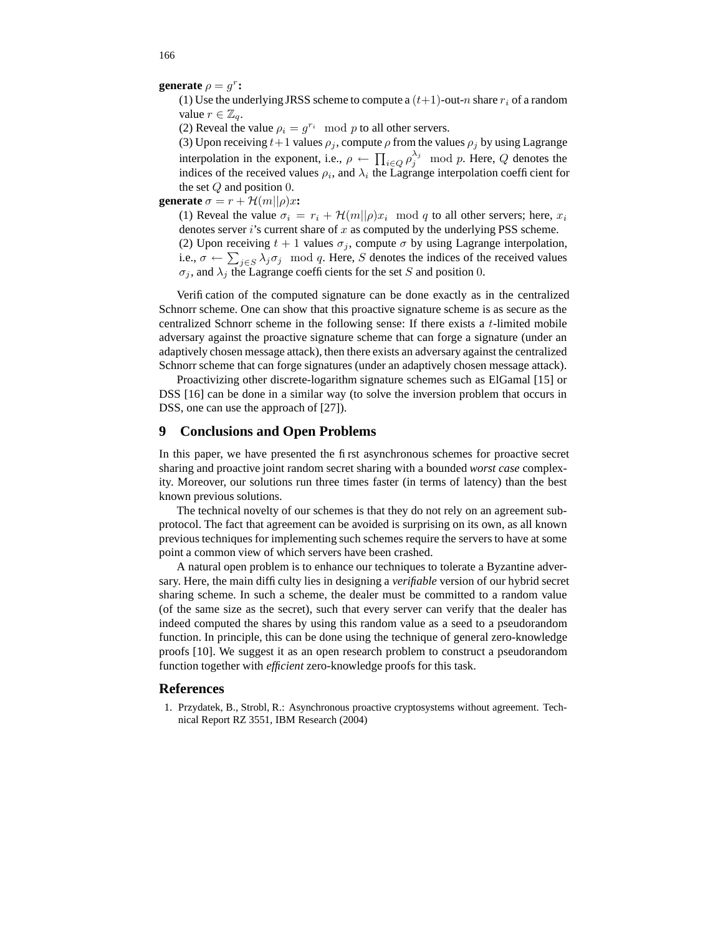**generate**  $\rho = g^r$ **:** 

(1) Use the underlying JRSS scheme to compute a  $(t+1)$ -out-n share  $r_i$  of a random value  $r \in \mathbb{Z}_q$ .

(2) Reveal the value  $\rho_i = g^{r_i} \mod p$  to all other servers.

(3) Upon receiving  $t+1$  values  $\rho_j$ , compute  $\rho$  from the values  $\rho_j$  by using Lagrange interpolation in the exponent, i.e.,  $\rho \leftarrow \prod_{i \in Q} \rho_j^{\lambda_j} \mod p$ . Here, Q denotes the indices of the received values  $\rho_i$ , and  $\lambda_i$  the Lagrange interpolation coefficient for the set  $Q$  and position 0.

**generate**  $\sigma = r + \mathcal{H}(m||\rho)x$ :

(1) Reveal the value  $\sigma_i = r_i + \mathcal{H}(m||\rho)x_i \mod q$  to all other servers; here,  $x_i$ denotes server  $i$ 's current share of x as computed by the underlying PSS scheme. (2) Upon receiving  $t + 1$  values  $\sigma_i$ , compute  $\sigma$  by using Lagrange interpolation, i.e.,  $\sigma \leftarrow \sum_{j \in S} \lambda_j \sigma_j \mod q$ . Here, S denotes the indices of the received values

 $\sigma_j$ , and  $\lambda_j$  the Lagrange coefficients for the set S and position 0.

Verification of the computed signature can be done exactly as in the centralized Schnorr scheme. One can show that this proactive signature scheme is as secure as the centralized Schnorr scheme in the following sense: If there exists a t-limited mobile adversary against the proactive signature scheme that can forge a signature (under an adaptively chosen message attack), then there exists an adversary against the centralized Schnorr scheme that can forge signatures (under an adaptively chosen message attack).

Proactivizing other discrete-logarithm signature schemes such as ElGamal [15] or DSS [16] can be done in a similar way (to solve the inversion problem that occurs in DSS, one can use the approach of [27]).

### **9 Conclusions and Open Problems**

In this paper, we have presented the first asynchronous schemes for proactive secret sharing and proactive joint random secret sharing with a bounded *worst case* complexity. Moreover, our solutions run three times faster (in terms of latency) than the best known previous solutions.

The technical novelty of our schemes is that they do not rely on an agreement subprotocol. The fact that agreement can be avoided is surprising on its own, as all known previous techniques for implementing such schemes require the servers to have at some point a common view of which servers have been crashed.

A natural open problem is to enhance our techniques to tolerate a Byzantine adversary. Here, the main difficulty lies in designing a *verifiable* version of our hybrid secret sharing scheme. In such a scheme, the dealer must be committed to a random value (of the same size as the secret), such that every server can verify that the dealer has indeed computed the shares by using this random value as a seed to a pseudorandom function. In principle, this can be done using the technique of general zero-knowledge proofs [10]. We suggest it as an open research problem to construct a pseudorandom function together with *efficient* zero-knowledge proofs for this task.

#### **References**

1. Przydatek, B., Strobl, R.: Asynchronous proactive cryptosystems without agreement. Technical Report RZ 3551, IBM Research (2004)

166